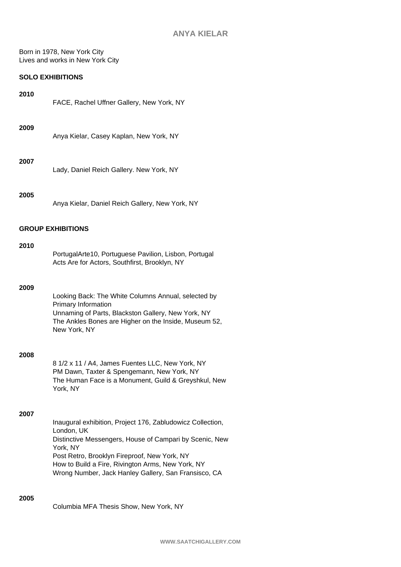Born in 1978, New York City Lives and works in New York City

# **SOLO EXHIBITIONS**

| 2010 |                                           |
|------|-------------------------------------------|
|      | FACE, Rachel Uffner Gallery, New York, NY |
|      |                                           |

#### **2009**

Anya Kielar, Casey Kaplan, New York, NY

## **2007**

Lady, Daniel Reich Gallery. New York, NY

## **2005**

Anya Kielar, Daniel Reich Gallery, New York, NY

## **GROUP EXHIBITIONS**

#### **2010**

| PortugalArte10, Portuguese Pavilion, Lisbon, Portugal |
|-------------------------------------------------------|
| Acts Are for Actors, Southfirst, Brooklyn, NY         |

## **2009**

Looking Back: The White Columns Annual, selected by Primary Information Unnaming of Parts, Blackston Gallery, New York, NY The Ankles Bones are Higher on the Inside, Museum 52, New York, NY

#### **2008**

8 1/2 x 11 / A4, James Fuentes LLC, New York, NY PM Dawn, Taxter & Spengemann, New York, NY The Human Face is a Monument, Guild & Greyshkul, New York, NY

#### **2007**

Inaugural exhibition, Project 176, Zabludowicz Collection, London, UK Distinctive Messengers, House of Campari by Scenic, New York, NY Post Retro, Brooklyn Fireproof, New York, NY How to Build a Fire, Rivington Arms, New York, NY Wrong Number, Jack Hanley Gallery, San Fransisco, CA

## **2005**

Columbia MFA Thesis Show, New York, NY